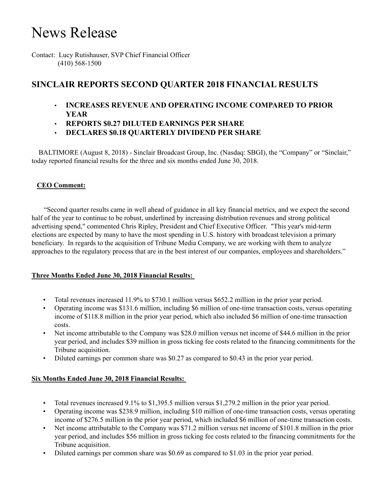# News Release

Contact: Lucy Rutishauser, SVP Chief Financial Officer (410) 568-1500

## **SINCLAIR REPORTS SECOND QUARTER 2018 FINANCIAL RESULTS**

- **INCREASES REVENUE AND OPERATING INCOME COMPARED TO PRIOR YEAR**
- **REPORTS \$0.27 DILUTED EARNINGS PER SHARE**
- **DECLARES \$0.18 QUARTERLY DIVIDEND PER SHARE**

 BALTIMORE (August 8, 2018) - Sinclair Broadcast Group, Inc. (Nasdaq: SBGI), the "Company" or "Sinclair," today reported financial results for the three and six months ended June 30, 2018.

## **CEO Comment:**

 "Second quarter results came in well ahead of guidance in all key financial metrics, and we expect the second half of the year to continue to be robust, underlined by increasing distribution revenues and strong political advertising spend," commented Chris Ripley, President and Chief Executive Officer. "This year's mid-term elections are expected by many to have the most spending in U.S. history with broadcast television a primary beneficiary. In regards to the acquisition of Tribune Media Company, we are working with them to analyze approaches to the regulatory process that are in the best interest of our companies, employees and shareholders."

#### **Three Months Ended June 30, 2018 Financial Results:**

- Total revenues increased 11.9% to \$730.1 million versus \$652.2 million in the prior year period.
- Operating income was \$131.6 million, including \$6 million of one-time transaction costs, versus operating income of \$118.8 million in the prior year period, which also included \$6 million of one-time transaction costs.
- Net income attributable to the Company was \$28.0 million versus net income of \$44.6 million in the prior year period, and includes \$39 million in gross ticking fee costs related to the financing commitments for the Tribune acquisition.
- Diluted earnings per common share was \$0.27 as compared to \$0.43 in the prior year period.

#### **Six Months Ended June 30, 2018 Financial Results:**

- Total revenues increased 9.1% to \$1,395.5 million versus \$1,279.2 million in the prior year period.
- Operating income was \$238.9 million, including \$10 million of one-time transaction costs, versus operating income of \$276.5 million in the prior year period, which included \$6 million of one-time transaction costs.
- Net income attributable to the Company was \$71.2 million versus net income of \$101.8 million in the prior year period, and includes \$56 million in gross ticking fee costs related to the financing commitments for the Tribune acquisition.
- Diluted earnings per common share was \$0.69 as compared to \$1.03 in the prior year period.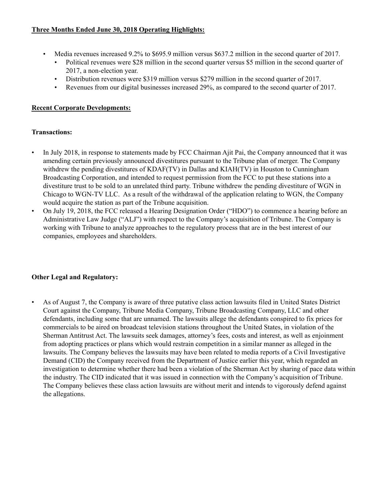## **Three Months Ended June 30, 2018 Operating Highlights:**

- Media revenues increased 9.2% to \$695.9 million versus \$637.2 million in the second quarter of 2017.
	- Political revenues were \$28 million in the second quarter versus \$5 million in the second quarter of 2017, a non-election year.
	- Distribution revenues were \$319 million versus \$279 million in the second quarter of 2017.
	- Revenues from our digital businesses increased 29%, as compared to the second quarter of 2017.

## **Recent Corporate Developments:**

#### **Transactions:**

- In July 2018, in response to statements made by FCC Chairman Ajit Pai, the Company announced that it was amending certain previously announced divestitures pursuant to the Tribune plan of merger. The Company withdrew the pending divestitures of KDAF(TV) in Dallas and KIAH(TV) in Houston to Cunningham Broadcasting Corporation, and intended to request permission from the FCC to put these stations into a divestiture trust to be sold to an unrelated third party. Tribune withdrew the pending divestiture of WGN in Chicago to WGN-TV LLC. As a result of the withdrawal of the application relating to WGN, the Company would acquire the station as part of the Tribune acquisition.
- On July 19, 2018, the FCC released a Hearing Designation Order ("HDO") to commence a hearing before an Administrative Law Judge ("ALJ") with respect to the Company's acquisition of Tribune. The Company is working with Tribune to analyze approaches to the regulatory process that are in the best interest of our companies, employees and shareholders.

## **Other Legal and Regulatory:**

• As of August 7, the Company is aware of three putative class action lawsuits filed in United States District Court against the Company, Tribune Media Company, Tribune Broadcasting Company, LLC and other defendants, including some that are unnamed. The lawsuits allege the defendants conspired to fix prices for commercials to be aired on broadcast television stations throughout the United States, in violation of the Sherman Antitrust Act. The lawsuits seek damages, attorney's fees, costs and interest, as well as enjoinment from adopting practices or plans which would restrain competition in a similar manner as alleged in the lawsuits. The Company believes the lawsuits may have been related to media reports of a Civil Investigative Demand (CID) the Company received from the Department of Justice earlier this year, which regarded an investigation to determine whether there had been a violation of the Sherman Act by sharing of pace data within the industry. The CID indicated that it was issued in connection with the Company's acquisition of Tribune. The Company believes these class action lawsuits are without merit and intends to vigorously defend against the allegations.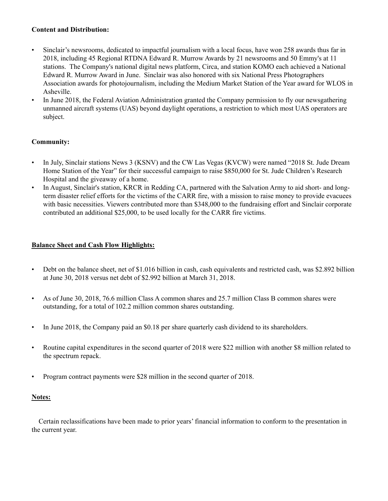#### **Content and Distribution:**

- Sinclair's newsrooms, dedicated to impactful journalism with a local focus, have won 258 awards thus far in 2018, including 45 Regional RTDNA Edward R. Murrow Awards by 21 newsrooms and 50 Emmy's at 11 stations. The Company's national digital news platform, Circa, and station KOMO each achieved a National Edward R. Murrow Award in June. Sinclair was also honored with six National Press Photographers Association awards for photojournalism, including the Medium Market Station of the Year award for WLOS in Asheville.
- In June 2018, the Federal Aviation Administration granted the Company permission to fly our newsgathering unmanned aircraft systems (UAS) beyond daylight operations, a restriction to which most UAS operators are subject.

#### **Community:**

- In July, Sinclair stations News 3 (KSNV) and the CW Las Vegas (KVCW) were named "2018 St. Jude Dream Home Station of the Year" for their successful campaign to raise \$850,000 for St. Jude Children's Research Hospital and the giveaway of a home.
- In August, Sinclair's station, KRCR in Redding CA, partnered with the Salvation Army to aid short- and longterm disaster relief efforts for the victims of the CARR fire, with a mission to raise money to provide evacuees with basic necessities. Viewers contributed more than \$348,000 to the fundraising effort and Sinclair corporate contributed an additional \$25,000, to be used locally for the CARR fire victims.

#### **Balance Sheet and Cash Flow Highlights:**

- Debt on the balance sheet, net of \$1.016 billion in cash, cash equivalents and restricted cash, was \$2.892 billion at June 30, 2018 versus net debt of \$2.992 billion at March 31, 2018.
- As of June 30, 2018, 76.6 million Class A common shares and 25.7 million Class B common shares were outstanding, for a total of 102.2 million common shares outstanding.
- In June 2018, the Company paid an \$0.18 per share quarterly cash dividend to its shareholders.
- Routine capital expenditures in the second quarter of 2018 were \$22 million with another \$8 million related to the spectrum repack.
- Program contract payments were \$28 million in the second quarter of 2018.

#### **Notes:**

 Certain reclassifications have been made to prior years' financial information to conform to the presentation in the current year.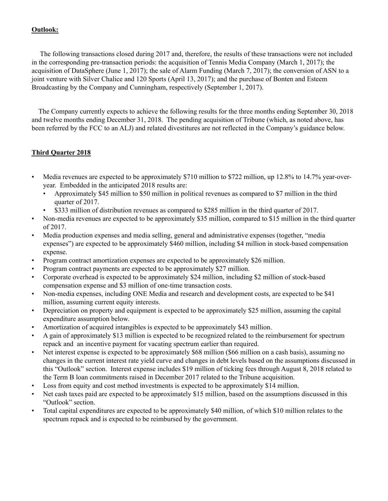#### **Outlook:**

The following transactions closed during 2017 and, therefore, the results of these transactions were not included in the corresponding pre-transaction periods: the acquisition of Tennis Media Company (March 1, 2017); the acquisition of DataSphere (June 1, 2017); the sale of Alarm Funding (March 7, 2017); the conversion of ASN to a joint venture with Silver Chalice and 120 Sports (April 13, 2017); and the purchase of Bonten and Esteem Broadcasting by the Company and Cunningham, respectively (September 1, 2017).

 The Company currently expects to achieve the following results for the three months ending September 30, 2018 and twelve months ending December 31, 2018. The pending acquisition of Tribune (which, as noted above, has been referred by the FCC to an ALJ) and related divestitures are not reflected in the Company's guidance below.

## **Third Quarter 2018**

- Media revenues are expected to be approximately \$710 million to \$722 million, up 12.8% to 14.7% year-overyear. Embedded in the anticipated 2018 results are:
	- Approximately \$45 million to \$50 million in political revenues as compared to \$7 million in the third quarter of 2017.
	- \$333 million of distribution revenues as compared to \$285 million in the third quarter of 2017.
- Non-media revenues are expected to be approximately \$35 million, compared to \$15 million in the third quarter of 2017.
- Media production expenses and media selling, general and administrative expenses (together, "media expenses") are expected to be approximately \$460 million, including \$4 million in stock-based compensation expense.
- Program contract amortization expenses are expected to be approximately \$26 million.
- Program contract payments are expected to be approximately \$27 million.
- Corporate overhead is expected to be approximately \$24 million, including \$2 million of stock-based compensation expense and \$3 million of one-time transaction costs.
- Non-media expenses, including ONE Media and research and development costs, are expected to be \$41 million, assuming current equity interests.
- Depreciation on property and equipment is expected to be approximately \$25 million, assuming the capital expenditure assumption below.
- Amortization of acquired intangibles is expected to be approximately \$43 million.
- A gain of approximately \$13 million is expected to be recognized related to the reimbursement for spectrum repack and an incentive payment for vacating spectrum earlier than required.
- Net interest expense is expected to be approximately \$68 million (\$66 million on a cash basis), assuming no changes in the current interest rate yield curve and changes in debt levels based on the assumptions discussed in this "Outlook" section. Interest expense includes \$19 million of ticking fees through August 8, 2018 related to the Term B loan commitments raised in December 2017 related to the Tribune acquisition.
- Loss from equity and cost method investments is expected to be approximately \$14 million.
- Net cash taxes paid are expected to be approximately \$15 million, based on the assumptions discussed in this "Outlook" section.
- Total capital expenditures are expected to be approximately \$40 million, of which \$10 million relates to the spectrum repack and is expected to be reimbursed by the government.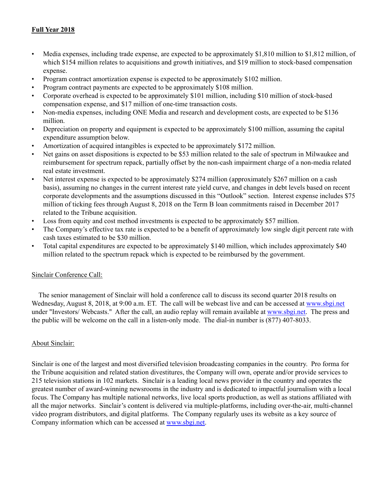## **Full Year 2018**

- Media expenses, including trade expense, are expected to be approximately \$1,810 million to \$1,812 million, of which \$154 million relates to acquisitions and growth initiatives, and \$19 million to stock-based compensation expense.
- Program contract amortization expense is expected to be approximately \$102 million.
- Program contract payments are expected to be approximately \$108 million.
- Corporate overhead is expected to be approximately \$101 million, including \$10 million of stock-based compensation expense, and \$17 million of one-time transaction costs.
- Non-media expenses, including ONE Media and research and development costs, are expected to be \$136 million.
- Depreciation on property and equipment is expected to be approximately \$100 million, assuming the capital expenditure assumption below.
- Amortization of acquired intangibles is expected to be approximately \$172 million.
- Net gains on asset dispositions is expected to be \$53 million related to the sale of spectrum in Milwaukee and reimbursement for spectrum repack, partially offset by the non-cash impairment charge of a non-media related real estate investment.
- Net interest expense is expected to be approximately \$274 million (approximately \$267 million on a cash basis), assuming no changes in the current interest rate yield curve, and changes in debt levels based on recent corporate developments and the assumptions discussed in this "Outlook" section. Interest expense includes \$75 million of ticking fees through August 8, 2018 on the Term B loan commitments raised in December 2017 related to the Tribune acquisition.
- Loss from equity and cost method investments is expected to be approximately \$57 million.
- The Company's effective tax rate is expected to be a benefit of approximately low single digit percent rate with cash taxes estimated to be \$30 million.
- Total capital expenditures are expected to be approximately \$140 million, which includes approximately \$40 million related to the spectrum repack which is expected to be reimbursed by the government.

#### Sinclair Conference Call:

 The senior management of Sinclair will hold a conference call to discuss its second quarter 2018 results on Wednesday, August 8, 2018, at 9:00 a.m. ET. The call will be webcast live and can be accessed at www.sbgi.net under "Investors/ Webcasts." After the call, an audio replay will remain available at www.sbgi.net. The press and the public will be welcome on the call in a listen-only mode. The dial-in number is (877) 407-8033.

#### About Sinclair:

Sinclair is one of the largest and most diversified television broadcasting companies in the country. Pro forma for the Tribune acquisition and related station divestitures, the Company will own, operate and/or provide services to 215 television stations in 102 markets. Sinclair is a leading local news provider in the country and operates the greatest number of award-winning newsrooms in the industry and is dedicated to impactful journalism with a local focus. The Company has multiple national networks, live local sports production, as well as stations affiliated with all the major networks. Sinclair's content is delivered via multiple-platforms, including over-the-air, multi-channel video program distributors, and digital platforms. The Company regularly uses its website as a key source of Company information which can be accessed at www.sbgi.net.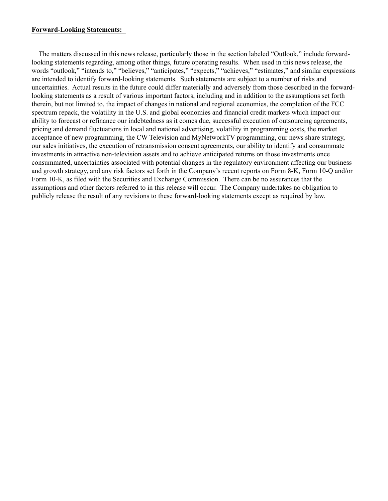#### **Forward-Looking Statements:**

The matters discussed in this news release, particularly those in the section labeled "Outlook," include forwardlooking statements regarding, among other things, future operating results. When used in this news release, the words "outlook," "intends to," "believes," "anticipates," "expects," "achieves," "estimates," and similar expressions are intended to identify forward-looking statements. Such statements are subject to a number of risks and uncertainties. Actual results in the future could differ materially and adversely from those described in the forwardlooking statements as a result of various important factors, including and in addition to the assumptions set forth therein, but not limited to, the impact of changes in national and regional economies, the completion of the FCC spectrum repack, the volatility in the U.S. and global economies and financial credit markets which impact our ability to forecast or refinance our indebtedness as it comes due, successful execution of outsourcing agreements, pricing and demand fluctuations in local and national advertising, volatility in programming costs, the market acceptance of new programming, the CW Television and MyNetworkTV programming, our news share strategy, our sales initiatives, the execution of retransmission consent agreements, our ability to identify and consummate investments in attractive non-television assets and to achieve anticipated returns on those investments once consummated, uncertainties associated with potential changes in the regulatory environment affecting our business and growth strategy, and any risk factors set forth in the Company's recent reports on Form 8-K, Form 10-Q and/or Form 10-K, as filed with the Securities and Exchange Commission. There can be no assurances that the assumptions and other factors referred to in this release will occur. The Company undertakes no obligation to publicly release the result of any revisions to these forward-looking statements except as required by law.